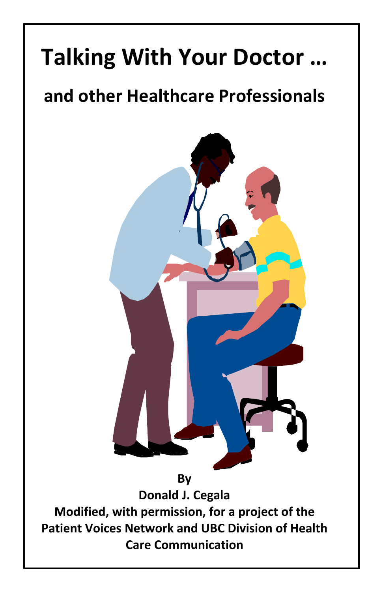# **Talking With Your Doctor …**

# **and other Healthcare Professionals**



**Donald J. Cegala Modified, with permission, for a project of the Patient Voices Network and UBC Division of Health Care Communication**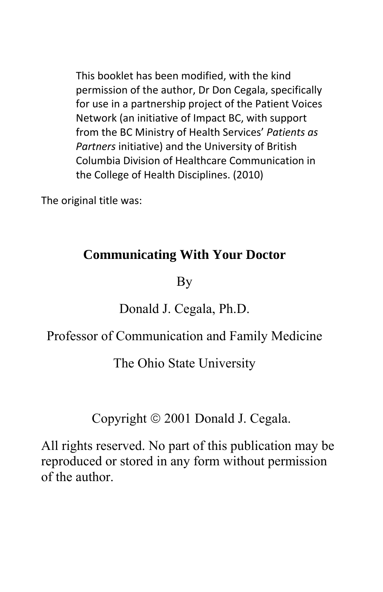This booklet has been modified, with the kind permission of the author, Dr Don Cegala, specifically for use in a partnership project of the Patient Voices Network (an initiative of Impact BC, with support from the BC Ministry of Health Services' *Patients as Partners* initiative) and the University of British Columbia Division of Healthcare Communication in the College of Health Disciplines. (2010)

The original title was:

#### **Communicating With Your Doctor**

By

#### Donald J. Cegala, Ph.D.

#### Professor of Communication and Family Medicine

The Ohio State University

Copyright  $\odot$  2001 Donald J. Cegala.

All rights reserved. No part of this publication may be reproduced or stored in any form without permission of the author.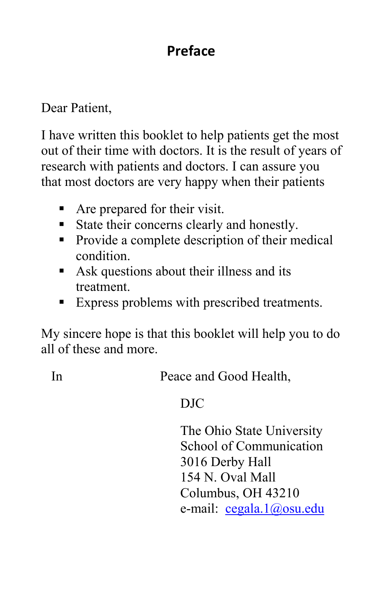# **Preface**

#### Dear Patient,

I have written this booklet to help patients get the most out of their time with doctors. It is the result of years of research with patients and doctors. I can assure you that most doctors are very happy when their patients

- Are prepared for their visit.
- State their concerns clearly and honestly.
- Provide a complete description of their medical condition.
- Ask questions about their illness and its treatment.
- Express problems with prescribed treatments.

My sincere hope is that this booklet will help you to do all of these and more.

In Peace and Good Health,

#### DJC

The Ohio State University School of Communication 3016 Derby Hall 154 N. Oval Mall Columbus, OH 43210 e-mail: cegala.1@osu.edu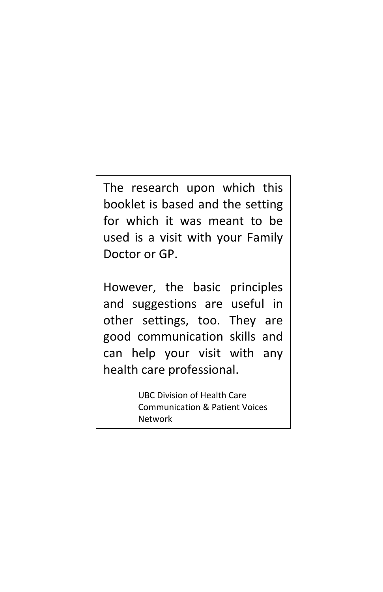The research upon which this booklet is based and the setting for which it was meant to be used is a visit with your Family Doctor or GP.

However, the basic principles and suggestions are useful in other settings, too. They are good communication skills and can help your visit with any health care professional.

> UBC Division of Health Care Communication & Patient Voices Network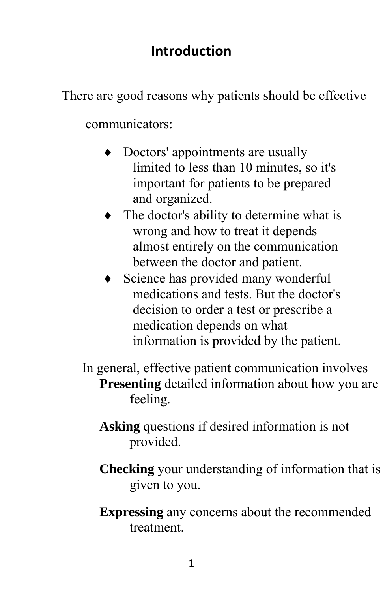#### **Introduction**

There are good reasons why patients should be effective

communicators:

- Doctors' appointments are usually limited to less than 10 minutes, so it's important for patients to be prepared and organized.
- The doctor's ability to determine what is wrong and how to treat it depends almost entirely on the communication between the doctor and patient.
- Science has provided many wonderful medications and tests. But the doctor's decision to order a test or prescribe a medication depends on what information is provided by the patient.
- In general, effective patient communication involves **Presenting** detailed information about how you are feeling.
	- **Asking** questions if desired information is not provided.
	- **Checking** your understanding of information that is given to you.
	- **Expressing** any concerns about the recommended treatment.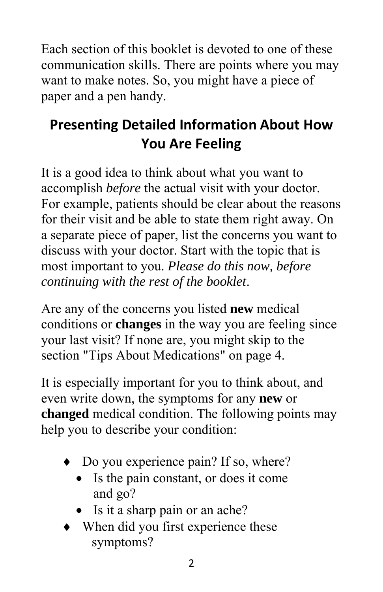Each section of this booklet is devoted to one of these communication skills. There are points where you may want to make notes. So, you might have a piece of paper and a pen handy.

# **Presenting Detailed Information About How You Are Feeling**

It is a good idea to think about what you want to accomplish *before* the actual visit with your doctor. For example, patients should be clear about the reasons for their visit and be able to state them right away. On a separate piece of paper, list the concerns you want to discuss with your doctor. Start with the topic that is most important to you. *Please do this now, before continuing with the rest of the booklet*.

Are any of the concerns you listed **new** medical conditions or **changes** in the way you are feeling since your last visit? If none are, you might skip to the section "Tips About Medications" on page 4.

It is especially important for you to think about, and even write down, the symptoms for any **new** or **changed** medical condition. The following points may help you to describe your condition:

- Do you experience pain? If so, where?
	- Is the pain constant, or does it come and go?
	- Is it a sharp pain or an ache?
- When did you first experience these symptoms?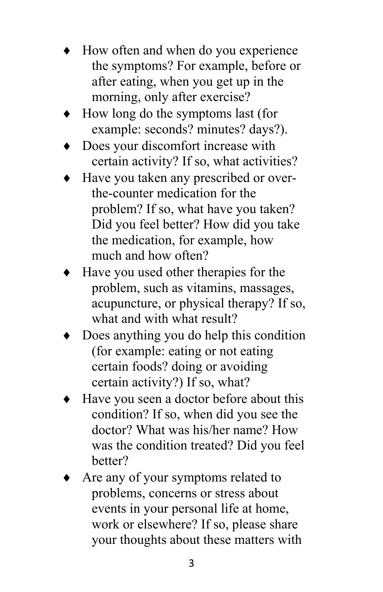- How often and when do you experience the symptoms? For example, before or after eating, when you get up in the morning, only after exercise?
- How long do the symptoms last (for example: seconds? minutes? days?).
- Does your discomfort increase with certain activity? If so, what activities?
- Have you taken any prescribed or overthe-counter medication for the problem? If so, what have you taken? Did you feel better? How did you take the medication, for example, how much and how often?
- Have you used other therapies for the problem, such as vitamins, massages, acupuncture, or physical therapy? If so, what and with what result?
- Does anything you do help this condition (for example: eating or not eating certain foods? doing or avoiding certain activity?) If so, what?
- Have you seen a doctor before about this condition? If so, when did you see the doctor? What was his/her name? How was the condition treated? Did you feel better?
- Are any of your symptoms related to problems, concerns or stress about events in your personal life at home, work or elsewhere? If so, please share your thoughts about these matters with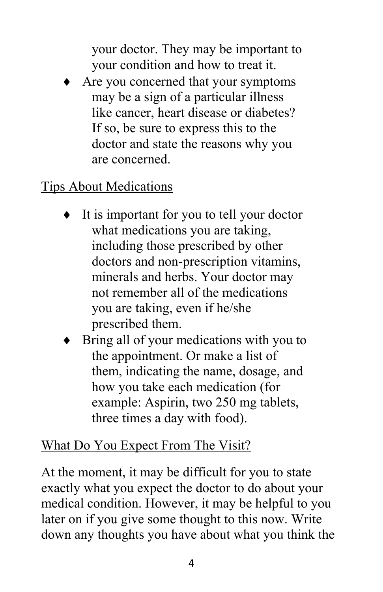your doctor. They may be important to your condition and how to treat it.

 Are you concerned that your symptoms may be a sign of a particular illness like cancer, heart disease or diabetes? If so, be sure to express this to the doctor and state the reasons why you are concerned.

#### Tips About Medications

- It is important for you to tell your doctor what medications you are taking, including those prescribed by other doctors and non-prescription vitamins, minerals and herbs. Your doctor may not remember all of the medications you are taking, even if he/she prescribed them.
- Bring all of your medications with you to the appointment. Or make a list of them, indicating the name, dosage, and how you take each medication (for example: Aspirin, two 250 mg tablets, three times a day with food).

#### What Do You Expect From The Visit?

At the moment, it may be difficult for you to state exactly what you expect the doctor to do about your medical condition. However, it may be helpful to you later on if you give some thought to this now. Write down any thoughts you have about what you think the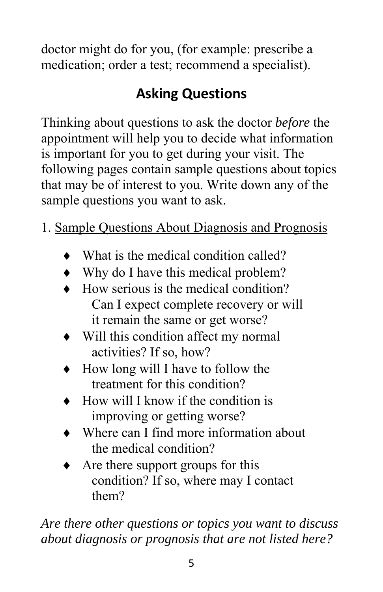doctor might do for you, (for example: prescribe a medication; order a test; recommend a specialist).

# **Asking Questions**

Thinking about questions to ask the doctor *before* the appointment will help you to decide what information is important for you to get during your visit. The following pages contain sample questions about topics that may be of interest to you. Write down any of the sample questions you want to ask.

- 1. Sample Questions About Diagnosis and Prognosis
	- What is the medical condition called?
	- Why do I have this medical problem?
	- How serious is the medical condition? Can I expect complete recovery or will it remain the same or get worse?
	- Will this condition affect my normal activities? If so, how?
	- How long will I have to follow the treatment for this condition?
	- How will I know if the condition is improving or getting worse?
	- Where can I find more information about the medical condition?
	- Are there support groups for this condition? If so, where may I contact them?

*Are there other questions or topics you want to discuss about diagnosis or prognosis that are not listed here?*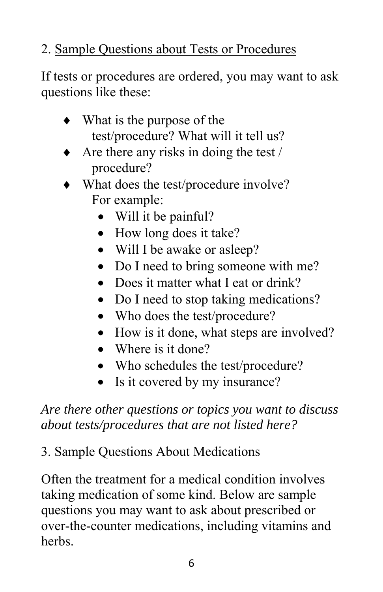# 2. Sample Questions about Tests or Procedures

If tests or procedures are ordered, you may want to ask questions like these:

- What is the purpose of the test/procedure? What will it tell us?
- Are there any risks in doing the test / procedure?
- What does the test/procedure involve? For example:
	- Will it be painful?
	- How long does it take?
	- Will I be awake or asleep?
	- Do I need to bring someone with me?
	- Does it matter what I eat or drink?
	- Do I need to stop taking medications?
	- Who does the test/procedure?
	- How is it done, what steps are involved?
	- Where is it done?
	- Who schedules the test/procedure?
	- Is it covered by my insurance?

*Are there other questions or topics you want to discuss about tests/procedures that are not listed here?* 

#### 3. Sample Questions About Medications

Often the treatment for a medical condition involves taking medication of some kind. Below are sample questions you may want to ask about prescribed or over-the-counter medications, including vitamins and herbs.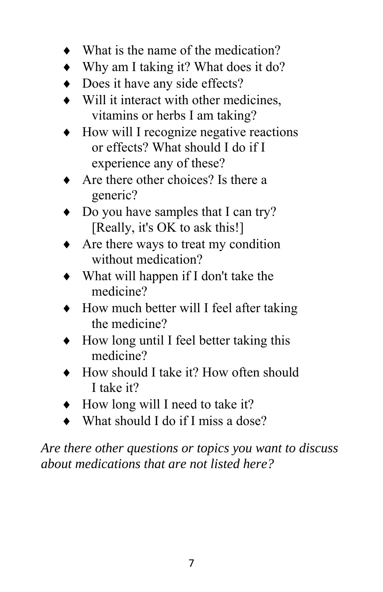- What is the name of the medication?
- Why am I taking it? What does it do?
- Does it have any side effects?
- Will it interact with other medicines, vitamins or herbs I am taking?
- How will I recognize negative reactions or effects? What should I do if I experience any of these?
- Are there other choices? Is there a generic?
- Do you have samples that I can try? [Really, it's OK to ask this!]
- Are there ways to treat my condition without medication?
- What will happen if I don't take the medicine?
- How much better will I feel after taking the medicine?
- How long until I feel better taking this medicine?
- How should I take it? How often should I take it?
- How long will I need to take it?
- $\bullet$  What should I do if I miss a dose?

*Are there other questions or topics you want to discuss about medications that are not listed here?*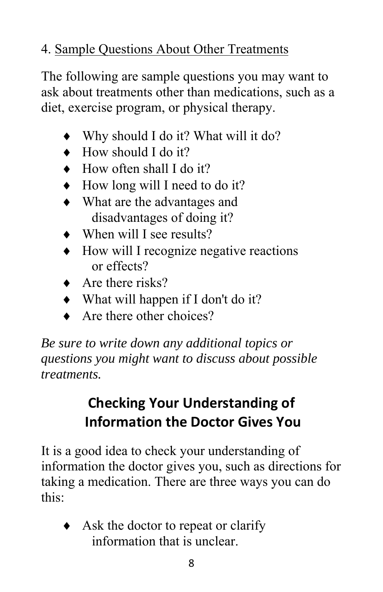# 4. Sample Questions About Other Treatments

The following are sample questions you may want to ask about treatments other than medications, such as a diet, exercise program, or physical therapy.

- Why should I do it? What will it do?
- How should I do it?
- How often shall I do it?
- How long will I need to do it?
- What are the advantages and disadvantages of doing it?
- When will I see results?
- How will I recognize negative reactions or effects?
- $\triangle$  Are there risks?
- What will happen if I don't do it?
- $\triangle$  Are there other choices?

*Be sure to write down any additional topics or questions you might want to discuss about possible treatments.* 

# **Checking Your Understanding of Information the Doctor Gives You**

It is a good idea to check your understanding of information the doctor gives you, such as directions for taking a medication. There are three ways you can do this:

 $\triangleleft$  Ask the doctor to repeat or clarify information that is unclear.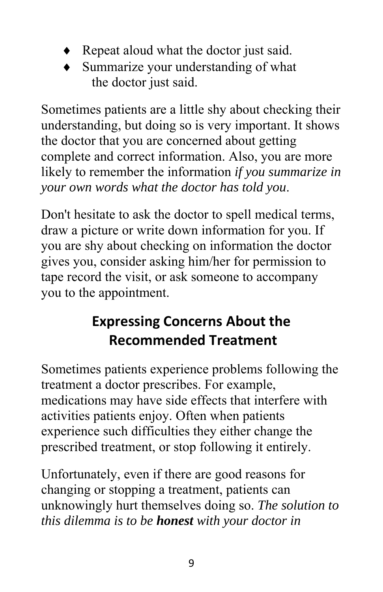- ◆ Repeat aloud what the doctor just said.
- Summarize your understanding of what the doctor just said.

Sometimes patients are a little shy about checking their understanding, but doing so is very important. It shows the doctor that you are concerned about getting complete and correct information. Also, you are more likely to remember the information *if you summarize in your own words what the doctor has told you*.

Don't hesitate to ask the doctor to spell medical terms, draw a picture or write down information for you. If you are shy about checking on information the doctor gives you, consider asking him/her for permission to tape record the visit, or ask someone to accompany you to the appointment.

# **Expressing Concerns About the Recommended Treatment**

Sometimes patients experience problems following the treatment a doctor prescribes. For example, medications may have side effects that interfere with activities patients enjoy. Often when patients experience such difficulties they either change the prescribed treatment, or stop following it entirely.

Unfortunately, even if there are good reasons for changing or stopping a treatment, patients can unknowingly hurt themselves doing so. *The solution to this dilemma is to be honest with your doctor in*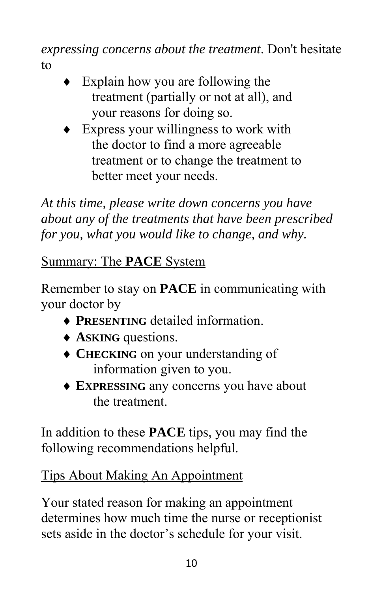*expressing concerns about the treatment*. Don't hesitate to

- Explain how you are following the treatment (partially or not at all), and your reasons for doing so.
- Express your willingness to work with the doctor to find a more agreeable treatment or to change the treatment to better meet your needs.

*At this time, please write down concerns you have about any of the treatments that have been prescribed for you, what you would like to change, and why.* 

### Summary: The **PACE** System

Remember to stay on **PACE** in communicating with your doctor by

- **PRESENTING** detailed information.
- **ASKING** questions.
- **CHECKING** on your understanding of information given to you.
- **EXPRESSING** any concerns you have about the treatment.

In addition to these **PACE** tips, you may find the following recommendations helpful.

#### Tips About Making An Appointment

Your stated reason for making an appointment determines how much time the nurse or receptionist sets aside in the doctor's schedule for your visit.